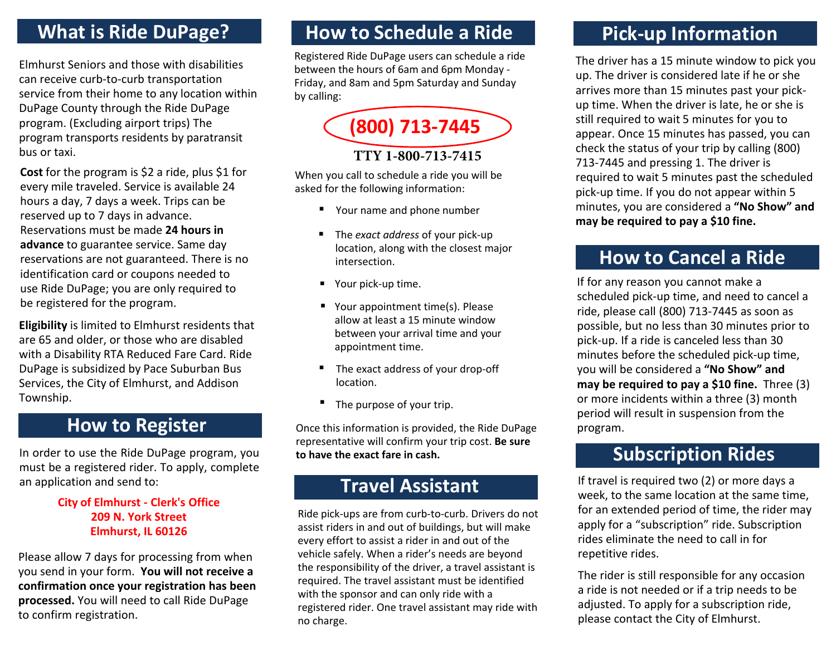#### **What is Ride DuPage?**

Elmhurst Seniors and those with disabilities can receive curb-to-curb transportation service from their home to any location within DuPage County through the Ride DuPage program. (Excluding airport trips) The program transports residents by paratransit bus or taxi.

**Cost** for the program is \$2 a ride, plus \$1 for every mile traveled. Service is available 24 hours a day, 7 days a week. Trips can be reserved up to 7 days in advance. Reservations must be made **24 hours in advance** to guarantee service. Same day reservations are not guaranteed. There is no identification card or coupons needed to use Ride DuPage; you are only required to be registered for the program.

**Eligibility** is limited to Elmhurst residents that are 65 and older, or those who are disabled with a Disability RTA Reduced Fare Card. Ride DuPage is subsidized by Pace Suburban Bus Services, the City of Elmhurst, and Addison Township.

#### **How to Register**

In order to use the Ride DuPage program, you must be a registered rider. To apply, complete an application and send to:

#### **City of Elmhurst - Clerk's Office 209 N. York Street Elmhurst, IL 60126**

Please allow 7 days for processing from when you send in your form. **You will not receive a confirmation once your registration has been processed.** You will need to call Ride DuPage to confirm registration.

### **How to Schedule a Ride**

Registered Ride DuPage users can schedule a ride between the hours of 6am and 6pm Monday - Friday, and 8am and 5pm Saturday and Sunday by calling:



#### **TTY 1-800-713-7415**

When you call to schedule a ride you will be asked for the following information:

- Your name and phone number
- The *exact address* of your pick-up location, along with the closest major intersection.
- Your pick-up time.
- Your appointment time(s). Please allow at least a 15 minute window between your arrival time and your appointment time.
- The exact address of your drop-off location.
- The purpose of your trip.

Once this information is provided, the Ride DuPage representative will confirm your trip cost. **Be sure to have the exact fare in cash.**

#### **Travel Assistant**

Ride pick-ups are from curb-to-curb. Drivers do not assist riders in and out of buildings, but will make every effort to assist a rider in and out of the vehicle safely. When a rider's needs are beyond the responsibility of the driver, a travel assistant is required. The travel assistant must be identified with the sponsor and can only ride with a registered rider. One travel assistant may ride with no charge.

## **Pick-up Information**

The driver has a 15 minute window to pick you up. The driver is considered late if he or she arrives more than 15 minutes past your pickup time. When the driver is late, he or she is still required to wait 5 minutes for you to appear. Once 15 minutes has passed, you can check the status of your trip by calling (800) 713-7445 and pressing 1. The driver is required to wait 5 minutes past the scheduled pick-up time. If you do not appear within 5 minutes, you are considered a **"No Show" and may be required to pay a \$10 fine.**

#### **How to Cancel a Ride**

If for any reason you cannot make a scheduled pick-up time, and need to cancel a ride, please call (800) 713-7445 as soon as possible, but no less than 30 minutes prior to pick-up. If a ride is canceled less than 30 minutes before the scheduled pick-up time, you will be considered a **"No Show" and may be required to pay a \$10 fine.** Three (3) or more incidents within a three (3) month period will result in suspension from the program.

### **Subscription Rides**

If travel is required two (2) or more days a week, to the same location at the same time, for an extended period of time, the rider may apply for a "subscription" ride. Subscription rides eliminate the need to call in for repetitive rides.

The rider is still responsible for any occasion a ride is not needed or if a trip needs to be adjusted. To apply for a subscription ride, please contact the City of Elmhurst.